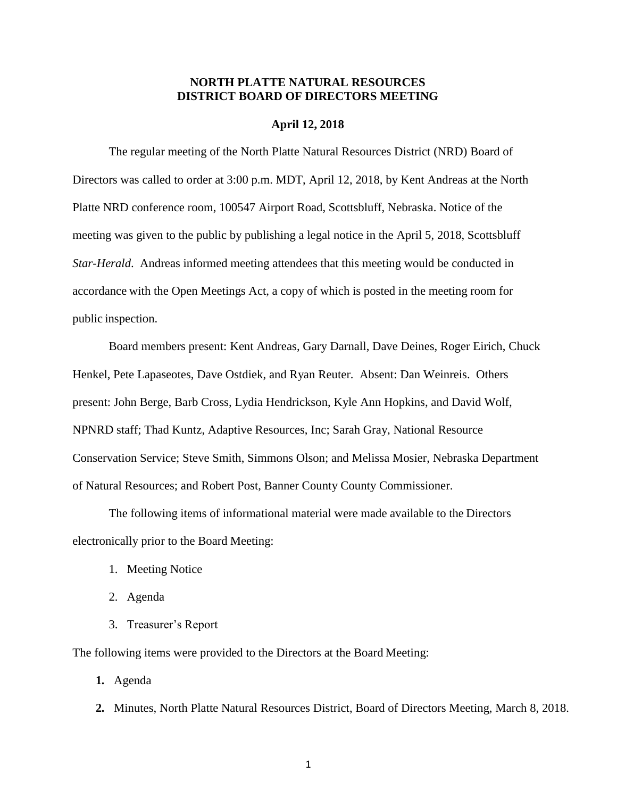# **NORTH PLATTE NATURAL RESOURCES DISTRICT BOARD OF DIRECTORS MEETING**

### **April 12, 2018**

The regular meeting of the North Platte Natural Resources District (NRD) Board of Directors was called to order at 3:00 p.m. MDT, April 12, 2018, by Kent Andreas at the North Platte NRD conference room, 100547 Airport Road, Scottsbluff, Nebraska. Notice of the meeting was given to the public by publishing a legal notice in the April 5, 2018, Scottsbluff *Star-Herald*. Andreas informed meeting attendees that this meeting would be conducted in accordance with the Open Meetings Act, a copy of which is posted in the meeting room for public inspection.

Board members present: Kent Andreas, Gary Darnall, Dave Deines, Roger Eirich, Chuck Henkel, Pete Lapaseotes, Dave Ostdiek, and Ryan Reuter. Absent: Dan Weinreis. Others present: John Berge, Barb Cross, Lydia Hendrickson, Kyle Ann Hopkins, and David Wolf, NPNRD staff; Thad Kuntz, Adaptive Resources, Inc; Sarah Gray, National Resource Conservation Service; Steve Smith, Simmons Olson; and Melissa Mosier, Nebraska Department of Natural Resources; and Robert Post, Banner County County Commissioner.

The following items of informational material were made available to the Directors electronically prior to the Board Meeting:

- 1. Meeting Notice
- 2. Agenda
- 3. Treasurer's Report

The following items were provided to the Directors at the Board Meeting:

**1.** Agenda

**2.** Minutes, North Platte Natural Resources District, Board of Directors Meeting, March 8, 2018.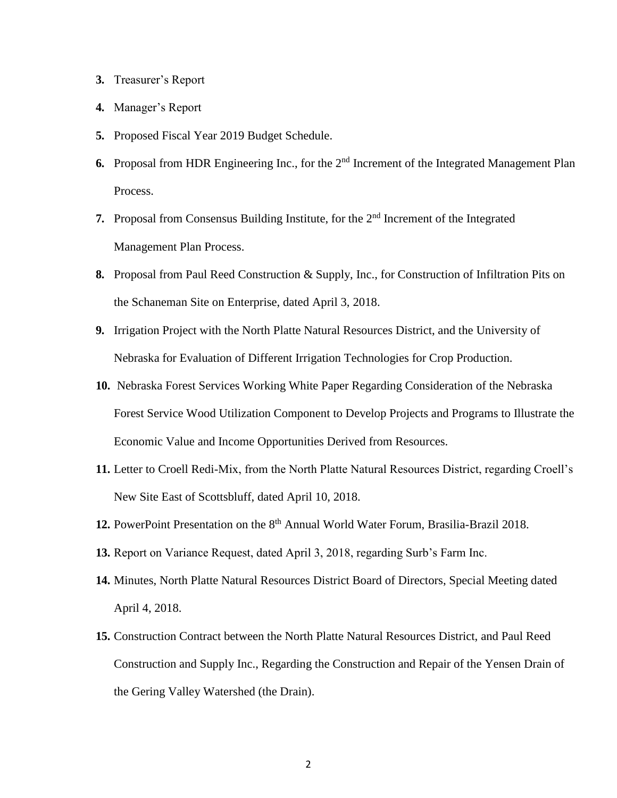- **3.** Treasurer's Report
- **4.** Manager's Report
- **5.** Proposed Fiscal Year 2019 Budget Schedule.
- **6.** Proposal from HDR Engineering Inc., for the 2<sup>nd</sup> Increment of the Integrated Management Plan Process.
- **7.** Proposal from Consensus Building Institute, for the 2<sup>nd</sup> Increment of the Integrated Management Plan Process.
- **8.** Proposal from Paul Reed Construction & Supply, Inc., for Construction of Infiltration Pits on the Schaneman Site on Enterprise, dated April 3, 2018.
- **9.** Irrigation Project with the North Platte Natural Resources District, and the University of Nebraska for Evaluation of Different Irrigation Technologies for Crop Production.
- **10.** Nebraska Forest Services Working White Paper Regarding Consideration of the Nebraska Forest Service Wood Utilization Component to Develop Projects and Programs to Illustrate the Economic Value and Income Opportunities Derived from Resources.
- **11.** Letter to Croell Redi-Mix, from the North Platte Natural Resources District, regarding Croell's New Site East of Scottsbluff, dated April 10, 2018.
- 12. PowerPoint Presentation on the 8<sup>th</sup> Annual World Water Forum, Brasilia-Brazil 2018.
- **13.** Report on Variance Request, dated April 3, 2018, regarding Surb's Farm Inc.
- **14.** Minutes, North Platte Natural Resources District Board of Directors, Special Meeting dated April 4, 2018.
- **15.** Construction Contract between the North Platte Natural Resources District, and Paul Reed Construction and Supply Inc., Regarding the Construction and Repair of the Yensen Drain of the Gering Valley Watershed (the Drain).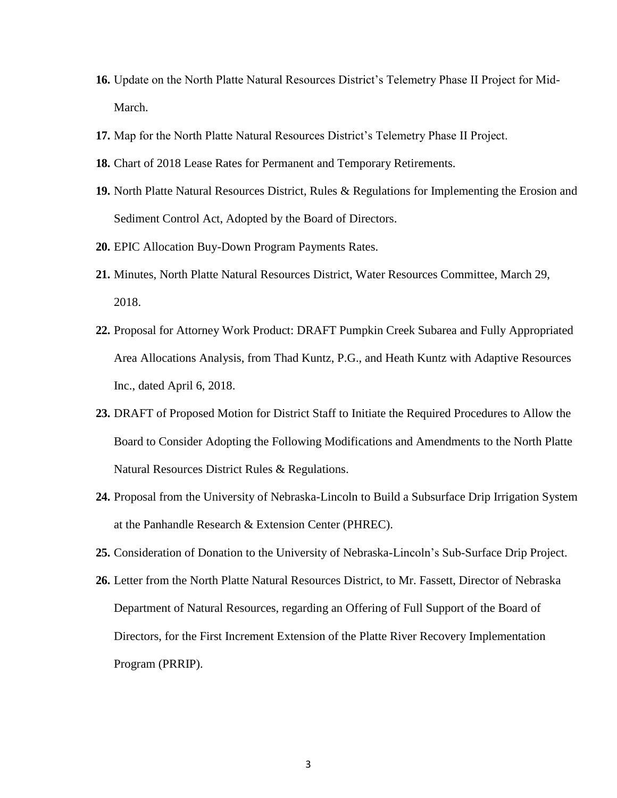- **16.** Update on the North Platte Natural Resources District's Telemetry Phase II Project for Mid-March.
- **17.** Map for the North Platte Natural Resources District's Telemetry Phase II Project.
- **18.** Chart of 2018 Lease Rates for Permanent and Temporary Retirements.
- **19.** North Platte Natural Resources District, Rules & Regulations for Implementing the Erosion and Sediment Control Act, Adopted by the Board of Directors.
- **20.** EPIC Allocation Buy-Down Program Payments Rates.
- **21.** Minutes, North Platte Natural Resources District, Water Resources Committee, March 29, 2018.
- **22.** Proposal for Attorney Work Product: DRAFT Pumpkin Creek Subarea and Fully Appropriated Area Allocations Analysis, from Thad Kuntz, P.G., and Heath Kuntz with Adaptive Resources Inc., dated April 6, 2018.
- **23.** DRAFT of Proposed Motion for District Staff to Initiate the Required Procedures to Allow the Board to Consider Adopting the Following Modifications and Amendments to the North Platte Natural Resources District Rules & Regulations.
- **24.** Proposal from the University of Nebraska-Lincoln to Build a Subsurface Drip Irrigation System at the Panhandle Research & Extension Center (PHREC).
- **25.** Consideration of Donation to the University of Nebraska-Lincoln's Sub-Surface Drip Project.
- **26.** Letter from the North Platte Natural Resources District, to Mr. Fassett, Director of Nebraska Department of Natural Resources, regarding an Offering of Full Support of the Board of Directors, for the First Increment Extension of the Platte River Recovery Implementation Program (PRRIP).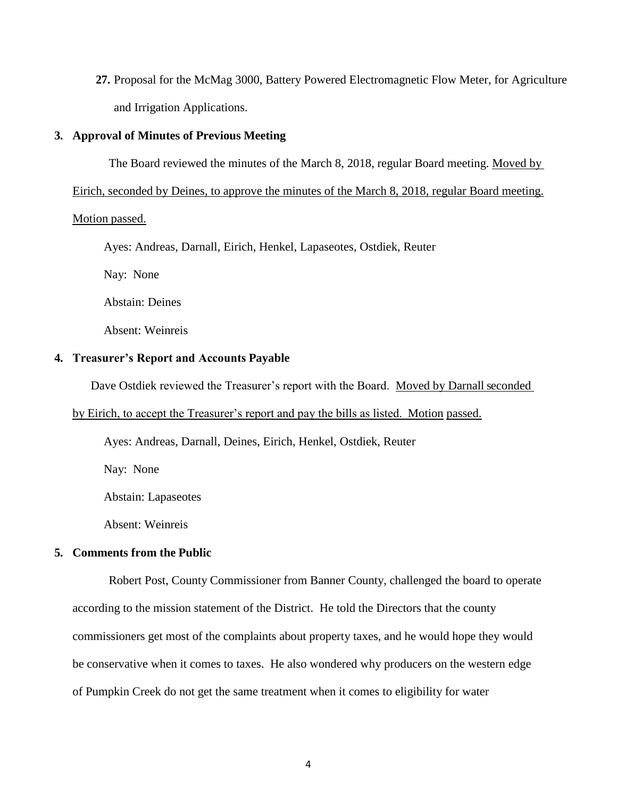**27.** Proposal for the McMag 3000, Battery Powered Electromagnetic Flow Meter, for Agriculture and Irrigation Applications.

# **3. Approval of Minutes of Previous Meeting**

The Board reviewed the minutes of the March 8, 2018, regular Board meeting. Moved by

Eirich, seconded by Deines, to approve the minutes of the March 8, 2018, regular Board meeting.

# Motion passed.

Ayes: Andreas, Darnall, Eirich, Henkel, Lapaseotes, Ostdiek, Reuter

Nay: None

Abstain: Deines

Absent: Weinreis

#### **4. Treasurer's Report and Accounts Payable**

Dave Ostdiek reviewed the Treasurer's report with the Board. Moved by Darnall seconded

# by Eirich, to accept the Treasurer's report and pay the bills as listed. Motion passed.

Ayes: Andreas, Darnall, Deines, Eirich, Henkel, Ostdiek, Reuter

Nay: None

Abstain: Lapaseotes

Absent: Weinreis

# **5. Comments from the Public**

Robert Post, County Commissioner from Banner County, challenged the board to operate according to the mission statement of the District. He told the Directors that the county commissioners get most of the complaints about property taxes, and he would hope they would be conservative when it comes to taxes. He also wondered why producers on the western edge of Pumpkin Creek do not get the same treatment when it comes to eligibility for water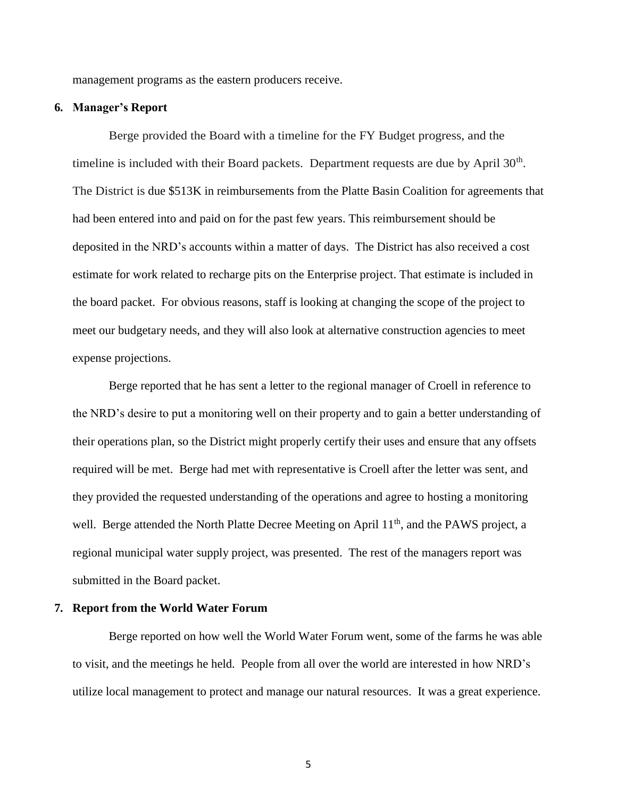management programs as the eastern producers receive.

## **6. Manager's Report**

Berge provided the Board with a timeline for the FY Budget progress, and the timeline is included with their Board packets. Department requests are due by April  $30<sup>th</sup>$ . The District is due \$513K in reimbursements from the Platte Basin Coalition for agreements that had been entered into and paid on for the past few years. This reimbursement should be deposited in the NRD's accounts within a matter of days. The District has also received a cost estimate for work related to recharge pits on the Enterprise project. That estimate is included in the board packet. For obvious reasons, staff is looking at changing the scope of the project to meet our budgetary needs, and they will also look at alternative construction agencies to meet expense projections.

Berge reported that he has sent a letter to the regional manager of Croell in reference to the NRD's desire to put a monitoring well on their property and to gain a better understanding of their operations plan, so the District might properly certify their uses and ensure that any offsets required will be met. Berge had met with representative is Croell after the letter was sent, and they provided the requested understanding of the operations and agree to hosting a monitoring well. Berge attended the North Platte Decree Meeting on April 11<sup>th</sup>, and the PAWS project, a regional municipal water supply project, was presented. The rest of the managers report was submitted in the Board packet.

# **7. Report from the World Water Forum**

Berge reported on how well the World Water Forum went, some of the farms he was able to visit, and the meetings he held. People from all over the world are interested in how NRD's utilize local management to protect and manage our natural resources. It was a great experience.

5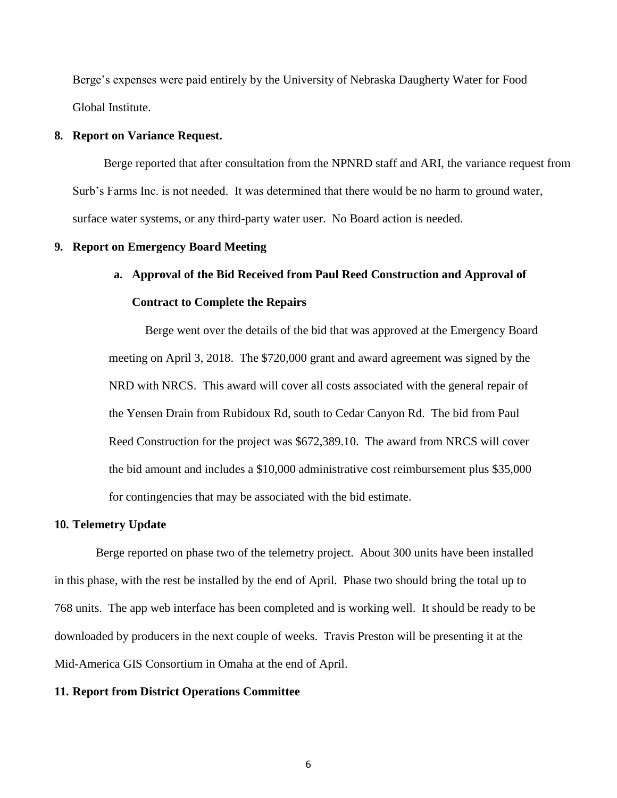Berge's expenses were paid entirely by the University of Nebraska Daugherty Water for Food Global Institute.

# **8. Report on Variance Request.**

Berge reported that after consultation from the NPNRD staff and ARI, the variance request from Surb's Farms Inc. is not needed. It was determined that there would be no harm to ground water, surface water systems, or any third-party water user. No Board action is needed.

## **9. Report on Emergency Board Meeting**

# **a. Approval of the Bid Received from Paul Reed Construction and Approval of Contract to Complete the Repairs**

Berge went over the details of the bid that was approved at the Emergency Board meeting on April 3, 2018. The \$720,000 grant and award agreement was signed by the NRD with NRCS. This award will cover all costs associated with the general repair of the Yensen Drain from Rubidoux Rd, south to Cedar Canyon Rd. The bid from Paul Reed Construction for the project was \$672,389.10. The award from NRCS will cover the bid amount and includes a \$10,000 administrative cost reimbursement plus \$35,000 for contingencies that may be associated with the bid estimate.

#### **10. Telemetry Update**

Berge reported on phase two of the telemetry project. About 300 units have been installed in this phase, with the rest be installed by the end of April. Phase two should bring the total up to 768 units. The app web interface has been completed and is working well. It should be ready to be downloaded by producers in the next couple of weeks. Travis Preston will be presenting it at the Mid-America GIS Consortium in Omaha at the end of April.

# **11. Report from District Operations Committee**

6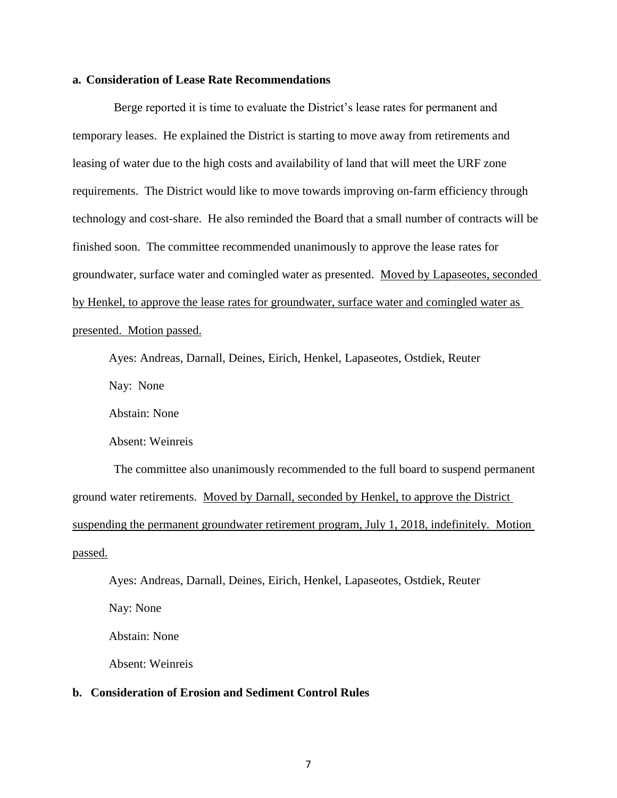### **a. Consideration of Lease Rate Recommendations**

Berge reported it is time to evaluate the District's lease rates for permanent and temporary leases. He explained the District is starting to move away from retirements and leasing of water due to the high costs and availability of land that will meet the URF zone requirements. The District would like to move towards improving on-farm efficiency through technology and cost-share. He also reminded the Board that a small number of contracts will be finished soon. The committee recommended unanimously to approve the lease rates for groundwater, surface water and comingled water as presented. Moved by Lapaseotes, seconded by Henkel, to approve the lease rates for groundwater, surface water and comingled water as presented. Motion passed.

Ayes: Andreas, Darnall, Deines, Eirich, Henkel, Lapaseotes, Ostdiek, Reuter

Nay: None

Abstain: None

Absent: Weinreis

The committee also unanimously recommended to the full board to suspend permanent ground water retirements. Moved by Darnall, seconded by Henkel, to approve the District suspending the permanent groundwater retirement program, July 1, 2018, indefinitely. Motion passed.

Ayes: Andreas, Darnall, Deines, Eirich, Henkel, Lapaseotes, Ostdiek, Reuter Nay: None Abstain: None

Absent: Weinreis

# **b. Consideration of Erosion and Sediment Control Rules**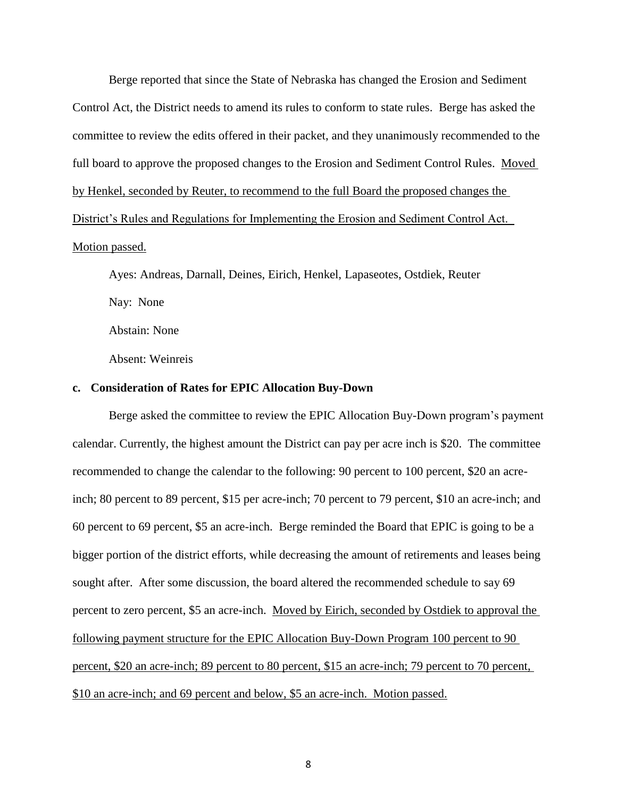Berge reported that since the State of Nebraska has changed the Erosion and Sediment Control Act, the District needs to amend its rules to conform to state rules. Berge has asked the committee to review the edits offered in their packet, and they unanimously recommended to the full board to approve the proposed changes to the Erosion and Sediment Control Rules. Moved by Henkel, seconded by Reuter, to recommend to the full Board the proposed changes the

District's Rules and Regulations for Implementing the Erosion and Sediment Control Act.

# Motion passed.

Ayes: Andreas, Darnall, Deines, Eirich, Henkel, Lapaseotes, Ostdiek, Reuter Nay: None Abstain: None

Absent: Weinreis

# **c. Consideration of Rates for EPIC Allocation Buy-Down**

Berge asked the committee to review the EPIC Allocation Buy-Down program's payment calendar. Currently, the highest amount the District can pay per acre inch is \$20. The committee recommended to change the calendar to the following: 90 percent to 100 percent, \$20 an acreinch; 80 percent to 89 percent, \$15 per acre-inch; 70 percent to 79 percent, \$10 an acre-inch; and 60 percent to 69 percent, \$5 an acre-inch. Berge reminded the Board that EPIC is going to be a bigger portion of the district efforts, while decreasing the amount of retirements and leases being sought after. After some discussion, the board altered the recommended schedule to say 69 percent to zero percent, \$5 an acre-inch. Moved by Eirich, seconded by Ostdiek to approval the following payment structure for the EPIC Allocation Buy-Down Program 100 percent to 90 percent, \$20 an acre-inch; 89 percent to 80 percent, \$15 an acre-inch; 79 percent to 70 percent, \$10 an acre-inch; and 69 percent and below, \$5 an acre-inch. Motion passed.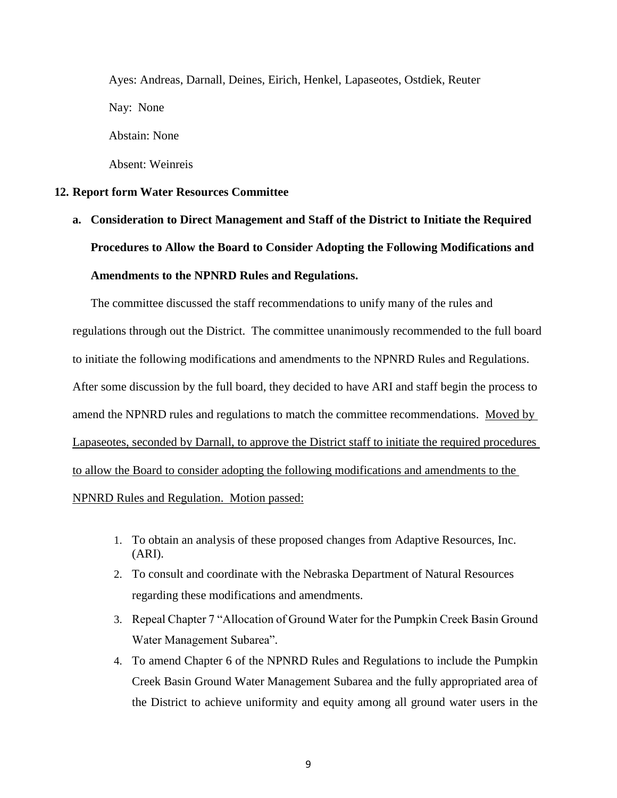Ayes: Andreas, Darnall, Deines, Eirich, Henkel, Lapaseotes, Ostdiek, Reuter Nay: None Abstain: None Absent: Weinreis

#### **12. Report form Water Resources Committee**

**a. Consideration to Direct Management and Staff of the District to Initiate the Required Procedures to Allow the Board to Consider Adopting the Following Modifications and Amendments to the NPNRD Rules and Regulations.**

The committee discussed the staff recommendations to unify many of the rules and regulations through out the District. The committee unanimously recommended to the full board to initiate the following modifications and amendments to the NPNRD Rules and Regulations. After some discussion by the full board, they decided to have ARI and staff begin the process to amend the NPNRD rules and regulations to match the committee recommendations. Moved by Lapaseotes, seconded by Darnall, to approve the District staff to initiate the required procedures to allow the Board to consider adopting the following modifications and amendments to the NPNRD Rules and Regulation. Motion passed:

- 1. To obtain an analysis of these proposed changes from Adaptive Resources, Inc. (ARI).
- 2. To consult and coordinate with the Nebraska Department of Natural Resources regarding these modifications and amendments.
- 3. Repeal Chapter 7 "Allocation of Ground Water for the Pumpkin Creek Basin Ground Water Management Subarea".
- 4. To amend Chapter 6 of the NPNRD Rules and Regulations to include the Pumpkin Creek Basin Ground Water Management Subarea and the fully appropriated area of the District to achieve uniformity and equity among all ground water users in the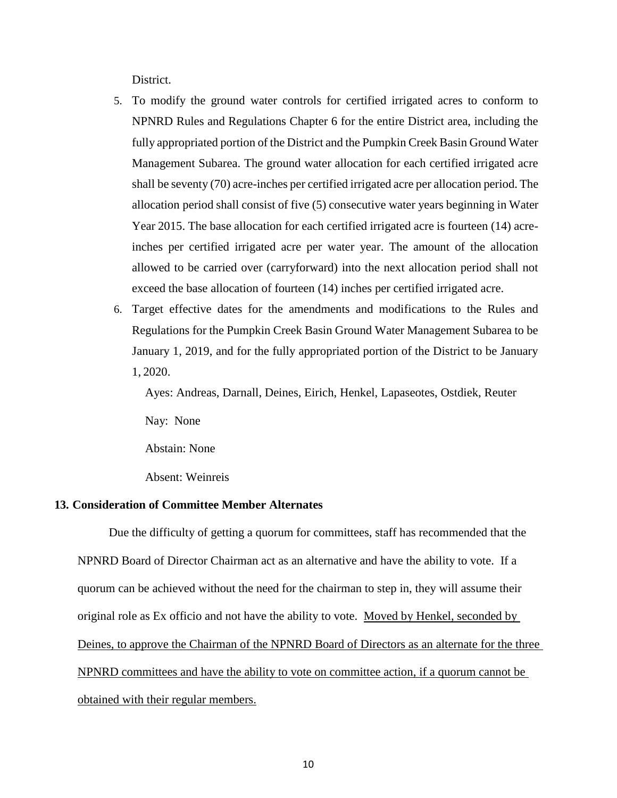District.

- 5. To modify the ground water controls for certified irrigated acres to conform to NPNRD Rules and Regulations Chapter 6 for the entire District area, including the fully appropriated portion of the District and the Pumpkin Creek Basin Ground Water Management Subarea. The ground water allocation for each certified irrigated acre shall be seventy (70) acre-inches per certified irrigated acre per allocation period. The allocation period shall consist of five (5) consecutive water years beginning in Water Year 2015. The base allocation for each certified irrigated acre is fourteen (14) acreinches per certified irrigated acre per water year. The amount of the allocation allowed to be carried over (carryforward) into the next allocation period shall not exceed the base allocation of fourteen (14) inches per certified irrigated acre.
- 6. Target effective dates for the amendments and modifications to the Rules and Regulations for the Pumpkin Creek Basin Ground Water Management Subarea to be January 1, 2019, and for the fully appropriated portion of the District to be January 1, 2020.

Ayes: Andreas, Darnall, Deines, Eirich, Henkel, Lapaseotes, Ostdiek, Reuter

Nay: None

Abstain: None

Absent: Weinreis

# **13. Consideration of Committee Member Alternates**

Due the difficulty of getting a quorum for committees, staff has recommended that the NPNRD Board of Director Chairman act as an alternative and have the ability to vote. If a quorum can be achieved without the need for the chairman to step in, they will assume their original role as Ex officio and not have the ability to vote. Moved by Henkel, seconded by Deines, to approve the Chairman of the NPNRD Board of Directors as an alternate for the three NPNRD committees and have the ability to vote on committee action, if a quorum cannot be obtained with their regular members.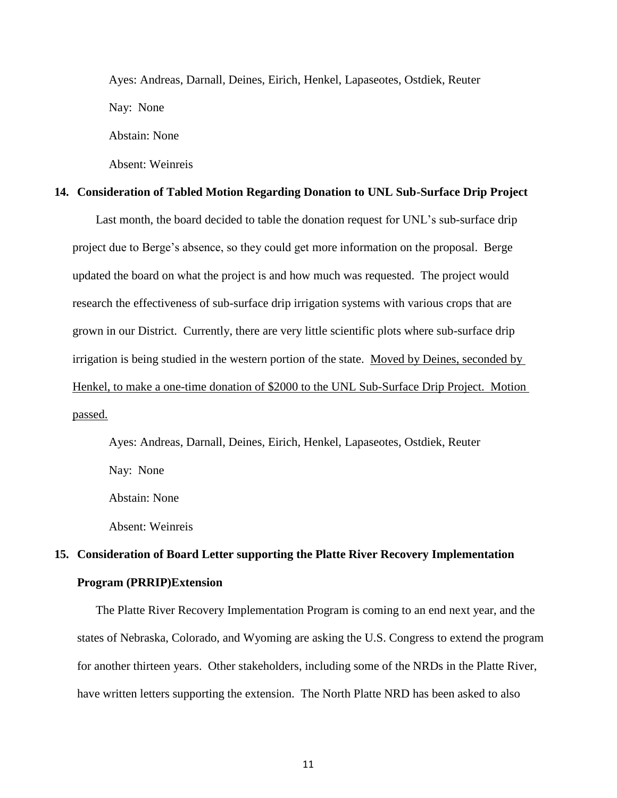Ayes: Andreas, Darnall, Deines, Eirich, Henkel, Lapaseotes, Ostdiek, Reuter Nay: None

Abstain: None

Absent: Weinreis

# **14. Consideration of Tabled Motion Regarding Donation to UNL Sub-Surface Drip Project**

Last month, the board decided to table the donation request for UNL's sub-surface drip project due to Berge's absence, so they could get more information on the proposal. Berge updated the board on what the project is and how much was requested. The project would research the effectiveness of sub-surface drip irrigation systems with various crops that are grown in our District. Currently, there are very little scientific plots where sub-surface drip irrigation is being studied in the western portion of the state. Moved by Deines, seconded by Henkel, to make a one-time donation of \$2000 to the UNL Sub-Surface Drip Project. Motion passed.

Ayes: Andreas, Darnall, Deines, Eirich, Henkel, Lapaseotes, Ostdiek, Reuter Nay: None

Abstain: None

Absent: Weinreis

# **15. Consideration of Board Letter supporting the Platte River Recovery Implementation Program (PRRIP)Extension**

The Platte River Recovery Implementation Program is coming to an end next year, and the states of Nebraska, Colorado, and Wyoming are asking the U.S. Congress to extend the program for another thirteen years. Other stakeholders, including some of the NRDs in the Platte River, have written letters supporting the extension. The North Platte NRD has been asked to also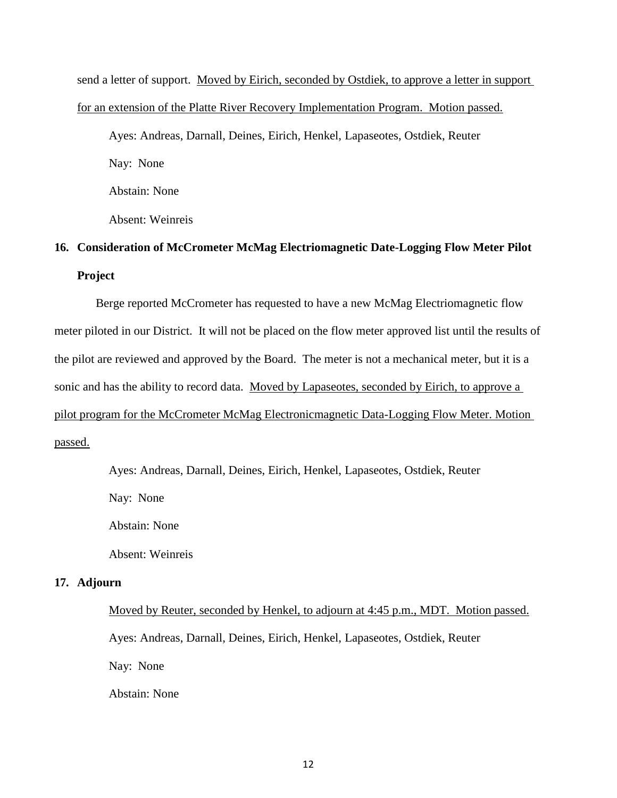send a letter of support. Moved by Eirich, seconded by Ostdiek, to approve a letter in support for an extension of the Platte River Recovery Implementation Program. Motion passed. Ayes: Andreas, Darnall, Deines, Eirich, Henkel, Lapaseotes, Ostdiek, Reuter Nay: None

Abstain: None

Absent: Weinreis

# **16. Consideration of McCrometer McMag Electriomagnetic Date-Logging Flow Meter Pilot Project**

Berge reported McCrometer has requested to have a new McMag Electriomagnetic flow meter piloted in our District. It will not be placed on the flow meter approved list until the results of the pilot are reviewed and approved by the Board. The meter is not a mechanical meter, but it is a sonic and has the ability to record data. Moved by Lapaseotes, seconded by Eirich, to approve a pilot program for the McCrometer McMag Electronicmagnetic Data-Logging Flow Meter. Motion passed.

Ayes: Andreas, Darnall, Deines, Eirich, Henkel, Lapaseotes, Ostdiek, Reuter

Nay: None

Abstain: None

Absent: Weinreis

#### **17. Adjourn**

Moved by Reuter, seconded by Henkel, to adjourn at 4:45 p.m., MDT. Motion passed. Ayes: Andreas, Darnall, Deines, Eirich, Henkel, Lapaseotes, Ostdiek, Reuter Nay: None Abstain: None